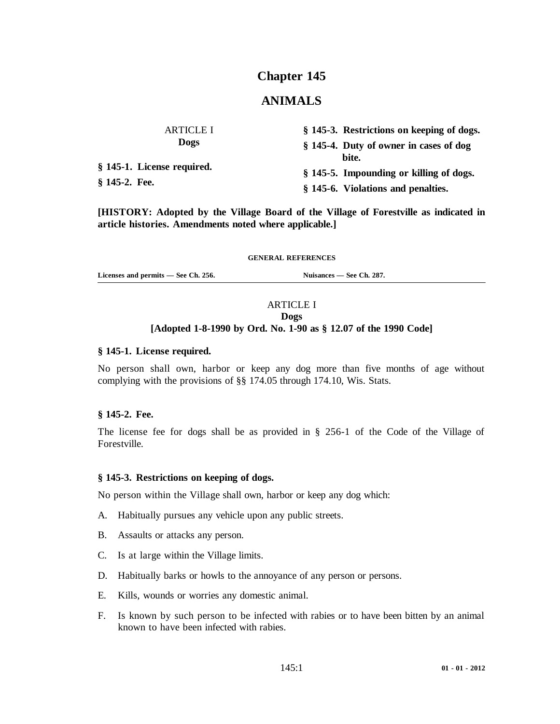# **Chapter 145**

## **ANIMALS**

| <b>ARTICLE I</b>                            | § 145-3. Restrictions on keeping of dogs. |
|---------------------------------------------|-------------------------------------------|
| <b>Dogs</b>                                 | § 145-4. Duty of owner in cases of dog    |
| § 145-1. License required.<br>§ 145-2. Fee. | bite.                                     |
|                                             | § 145-5. Impounding or killing of dogs.   |
|                                             | § 145-6. Violations and penalties.        |

**[HISTORY: Adopted by the Village Board of the Village of Forestville as indicated in article histories. Amendments noted where applicable.]**

#### **GENERAL REFERENCES**

Licenses and permits — See Ch. 256. Nuisances — See Ch. 287.

## ARTICLE I

### **Dogs**

## **[Adopted 1-8-1990 by Ord. No. 1-90 as § 12.07 of the 1990 Code]**

### **§ 145-1. License required.**

No person shall own, harbor or keep any dog more than five months of age without complying with the provisions of §§ 174.05 through 174.10, Wis. Stats.

#### **§ 145-2. Fee.**

The license fee for dogs shall be as provided in § 256-1 of the Code of the Village of Forestville.

#### **§ 145-3. Restrictions on keeping of dogs.**

No person within the Village shall own, harbor or keep any dog which:

- A. Habitually pursues any vehicle upon any public streets.
- B. Assaults or attacks any person.
- C. Is at large within the Village limits.
- D. Habitually barks or howls to the annoyance of any person or persons.
- E. Kills, wounds or worries any domestic animal.
- F. Is known by such person to be infected with rabies or to have been bitten by an animal known to have been infected with rabies.